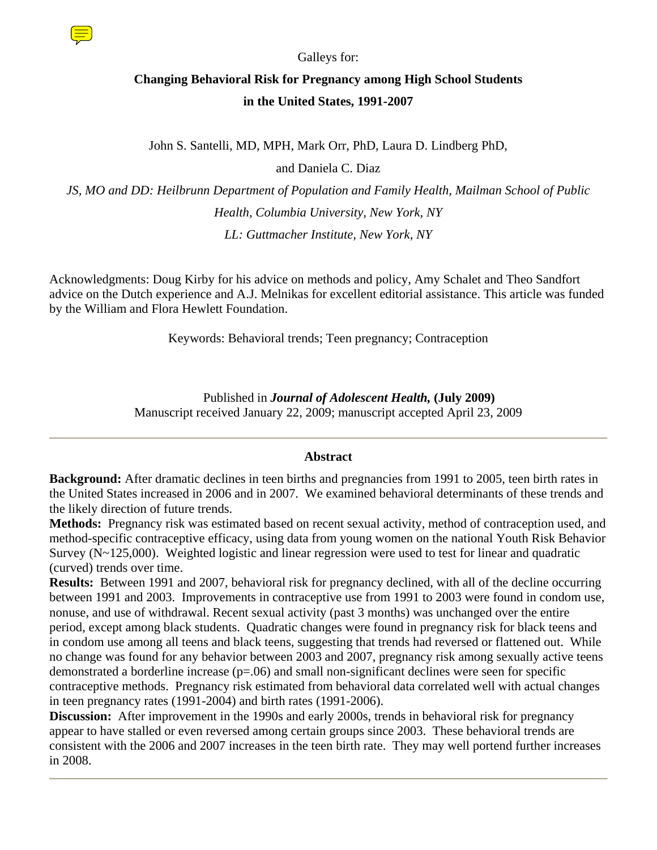

Galleys for:

# **Changing Behavioral Risk for Pregnancy among High School Students in the United States, 1991-2007**

John S. Santelli, MD, MPH, Mark Orr, PhD, Laura D. Lindberg PhD,

and Daniela C. Diaz

*JS, MO and DD: Heilbrunn Department of Population and Family Health, Mailman School of Public Health, Columbia University, New York, NY LL: Guttmacher Institute, New York, NY* 

Acknowledgments: Doug Kirby for his advice on methods and policy, Amy Schalet and Theo Sandfort advice on the Dutch experience and A.J. Melnikas for excellent editorial assistance. This article was funded by the William and Flora Hewlett Foundation.

Keywords: Behavioral trends; Teen pregnancy; Contraception

 Published in *Journal of Adolescent Health,* **(July 2009)** Manuscript received January 22, 2009; manuscript accepted April 23, 2009

# **Abstract**

**Background:** After dramatic declines in teen births and pregnancies from 1991 to 2005, teen birth rates in the United States increased in 2006 and in 2007. We examined behavioral determinants of these trends and the likely direction of future trends.

**Methods:** Pregnancy risk was estimated based on recent sexual activity, method of contraception used, and method-specific contraceptive efficacy, using data from young women on the national Youth Risk Behavior Survey (N~125,000). Weighted logistic and linear regression were used to test for linear and quadratic (curved) trends over time.

**Results:** Between 1991 and 2007, behavioral risk for pregnancy declined, with all of the decline occurring between 1991 and 2003. Improvements in contraceptive use from 1991 to 2003 were found in condom use, nonuse, and use of withdrawal. Recent sexual activity (past 3 months) was unchanged over the entire period, except among black students. Quadratic changes were found in pregnancy risk for black teens and in condom use among all teens and black teens, suggesting that trends had reversed or flattened out. While no change was found for any behavior between 2003 and 2007, pregnancy risk among sexually active teens demonstrated a borderline increase (p=.06) and small non-significant declines were seen for specific contraceptive methods. Pregnancy risk estimated from behavioral data correlated well with actual changes in teen pregnancy rates (1991-2004) and birth rates (1991-2006).

**Discussion:** After improvement in the 1990s and early 2000s, trends in behavioral risk for pregnancy appear to have stalled or even reversed among certain groups since 2003. These behavioral trends are consistent with the 2006 and 2007 increases in the teen birth rate. They may well portend further increases in 2008.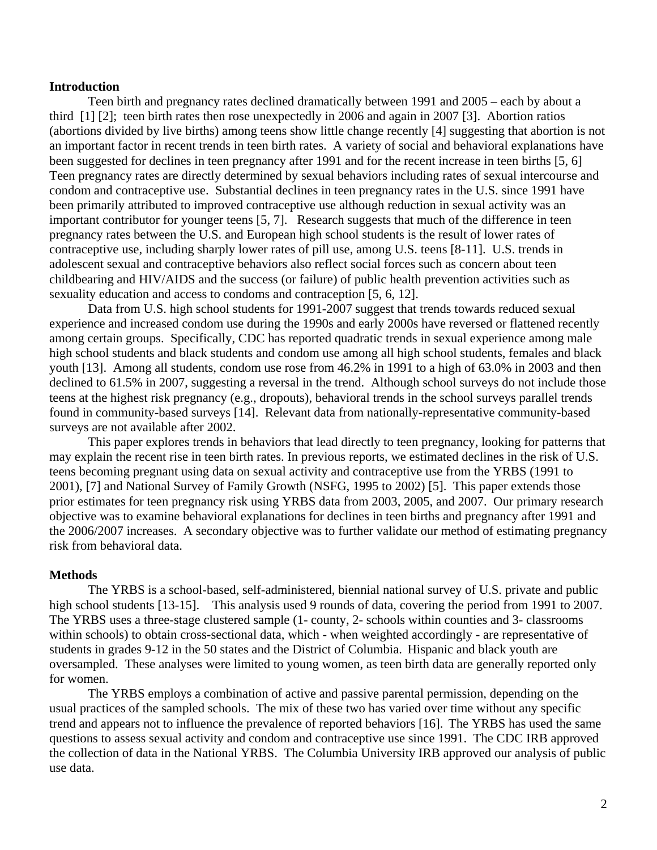#### **Introduction**

Teen birth and pregnancy rates declined dramatically between 1991 and 2005 – each by about a third [1] [2]; teen birth rates then rose unexpectedly in 2006 and again in 2007 [3]. Abortion ratios (abortions divided by live births) among teens show little change recently [4] suggesting that abortion is not an important factor in recent trends in teen birth rates. A variety of social and behavioral explanations have been suggested for declines in teen pregnancy after 1991 and for the recent increase in teen births [5, 6] Teen pregnancy rates are directly determined by sexual behaviors including rates of sexual intercourse and condom and contraceptive use. Substantial declines in teen pregnancy rates in the U.S. since 1991 have been primarily attributed to improved contraceptive use although reduction in sexual activity was an important contributor for younger teens [5, 7]. Research suggests that much of the difference in teen pregnancy rates between the U.S. and European high school students is the result of lower rates of contraceptive use, including sharply lower rates of pill use, among U.S. teens [8-11]. U.S. trends in adolescent sexual and contraceptive behaviors also reflect social forces such as concern about teen childbearing and HIV/AIDS and the success (or failure) of public health prevention activities such as sexuality education and access to condoms and contraception [5, 6, 12].

Data from U.S. high school students for 1991-2007 suggest that trends towards reduced sexual experience and increased condom use during the 1990s and early 2000s have reversed or flattened recently among certain groups. Specifically, CDC has reported quadratic trends in sexual experience among male high school students and black students and condom use among all high school students, females and black youth [13]. Among all students, condom use rose from 46.2% in 1991 to a high of 63.0% in 2003 and then declined to 61.5% in 2007, suggesting a reversal in the trend. Although school surveys do not include those teens at the highest risk pregnancy (e.g., dropouts), behavioral trends in the school surveys parallel trends found in community-based surveys [14]. Relevant data from nationally-representative community-based surveys are not available after 2002.

This paper explores trends in behaviors that lead directly to teen pregnancy, looking for patterns that may explain the recent rise in teen birth rates. In previous reports, we estimated declines in the risk of U.S. teens becoming pregnant using data on sexual activity and contraceptive use from the YRBS (1991 to 2001), [7] and National Survey of Family Growth (NSFG, 1995 to 2002) [5]. This paper extends those prior estimates for teen pregnancy risk using YRBS data from 2003, 2005, and 2007. Our primary research objective was to examine behavioral explanations for declines in teen births and pregnancy after 1991 and the 2006/2007 increases. A secondary objective was to further validate our method of estimating pregnancy risk from behavioral data.

#### **Methods**

The YRBS is a school-based, self-administered, biennial national survey of U.S. private and public high school students [13-15]. This analysis used 9 rounds of data, covering the period from 1991 to 2007. The YRBS uses a three-stage clustered sample (1- county, 2- schools within counties and 3- classrooms within schools) to obtain cross-sectional data, which - when weighted accordingly - are representative of students in grades 9-12 in the 50 states and the District of Columbia. Hispanic and black youth are oversampled. These analyses were limited to young women, as teen birth data are generally reported only for women.

The YRBS employs a combination of active and passive parental permission, depending on the usual practices of the sampled schools. The mix of these two has varied over time without any specific trend and appears not to influence the prevalence of reported behaviors [16]. The YRBS has used the same questions to assess sexual activity and condom and contraceptive use since 1991. The CDC IRB approved the collection of data in the National YRBS. The Columbia University IRB approved our analysis of public use data.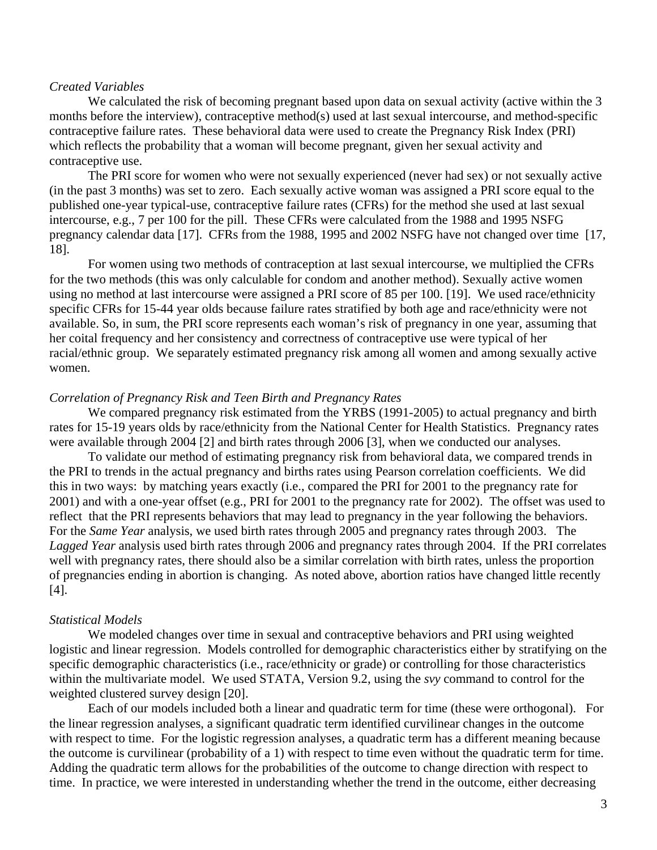#### *Created Variables*

We calculated the risk of becoming pregnant based upon data on sexual activity (active within the 3 months before the interview), contraceptive method(s) used at last sexual intercourse, and method-specific contraceptive failure rates. These behavioral data were used to create the Pregnancy Risk Index (PRI) which reflects the probability that a woman will become pregnant, given her sexual activity and contraceptive use.

The PRI score for women who were not sexually experienced (never had sex) or not sexually active (in the past 3 months) was set to zero. Each sexually active woman was assigned a PRI score equal to the published one-year typical-use, contraceptive failure rates (CFRs) for the method she used at last sexual intercourse, e.g., 7 per 100 for the pill. These CFRs were calculated from the 1988 and 1995 NSFG pregnancy calendar data [17]. CFRs from the 1988, 1995 and 2002 NSFG have not changed over time [17, 18].

For women using two methods of contraception at last sexual intercourse, we multiplied the CFRs for the two methods (this was only calculable for condom and another method). Sexually active women using no method at last intercourse were assigned a PRI score of 85 per 100. [19]. We used race/ethnicity specific CFRs for 15-44 year olds because failure rates stratified by both age and race/ethnicity were not available. So, in sum, the PRI score represents each woman's risk of pregnancy in one year, assuming that her coital frequency and her consistency and correctness of contraceptive use were typical of her racial/ethnic group. We separately estimated pregnancy risk among all women and among sexually active women.

#### *Correlation of Pregnancy Risk and Teen Birth and Pregnancy Rates*

We compared pregnancy risk estimated from the YRBS (1991-2005) to actual pregnancy and birth rates for 15-19 years olds by race/ethnicity from the National Center for Health Statistics. Pregnancy rates were available through 2004 [2] and birth rates through 2006 [3], when we conducted our analyses.

To validate our method of estimating pregnancy risk from behavioral data, we compared trends in the PRI to trends in the actual pregnancy and births rates using Pearson correlation coefficients. We did this in two ways: by matching years exactly (i.e., compared the PRI for 2001 to the pregnancy rate for 2001) and with a one-year offset (e.g., PRI for 2001 to the pregnancy rate for 2002). The offset was used to reflect that the PRI represents behaviors that may lead to pregnancy in the year following the behaviors. For the *Same Year* analysis, we used birth rates through 2005 and pregnancy rates through 2003. The *Lagged Year* analysis used birth rates through 2006 and pregnancy rates through 2004. If the PRI correlates well with pregnancy rates, there should also be a similar correlation with birth rates, unless the proportion of pregnancies ending in abortion is changing. As noted above, abortion ratios have changed little recently [4].

# *Statistical Models*

We modeled changes over time in sexual and contraceptive behaviors and PRI using weighted logistic and linear regression. Models controlled for demographic characteristics either by stratifying on the specific demographic characteristics (i.e., race/ethnicity or grade) or controlling for those characteristics within the multivariate model. We used STATA, Version 9.2, using the *svy* command to control for the weighted clustered survey design [20].

Each of our models included both a linear and quadratic term for time (these were orthogonal). For the linear regression analyses, a significant quadratic term identified curvilinear changes in the outcome with respect to time. For the logistic regression analyses, a quadratic term has a different meaning because the outcome is curvilinear (probability of a 1) with respect to time even without the quadratic term for time. Adding the quadratic term allows for the probabilities of the outcome to change direction with respect to time. In practice, we were interested in understanding whether the trend in the outcome, either decreasing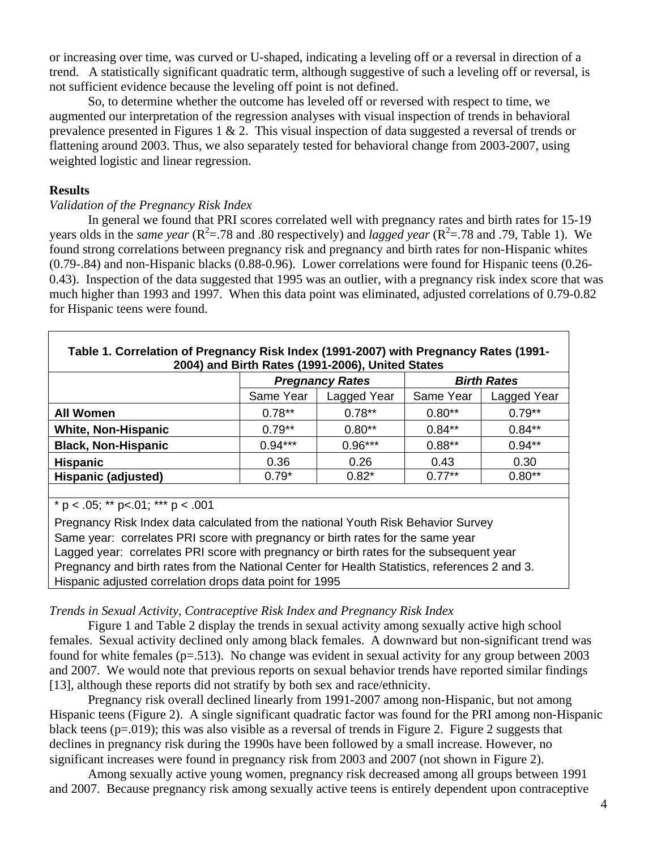or increasing over time, was curved or U-shaped, indicating a leveling off or a reversal in direction of a trend. A statistically significant quadratic term, although suggestive of such a leveling off or reversal, is not sufficient evidence because the leveling off point is not defined.

So, to determine whether the outcome has leveled off or reversed with respect to time, we augmented our interpretation of the regression analyses with visual inspection of trends in behavioral prevalence presented in Figures 1  $\&$  2. This visual inspection of data suggested a reversal of trends or flattening around 2003. Thus, we also separately tested for behavioral change from 2003-2007, using weighted logistic and linear regression.

#### **Results**

#### *Validation of the Pregnancy Risk Index*

In general we found that PRI scores correlated well with pregnancy rates and birth rates for 15-19 years olds in the *same year* ( $R^2$ =.78 and .80 respectively) and *lagged year* ( $R^2$ =.78 and .79, Table 1). We found strong correlations between pregnancy risk and pregnancy and birth rates for non-Hispanic whites (0.79-.84) and non-Hispanic blacks (0.88-0.96). Lower correlations were found for Hispanic teens (0.26- 0.43). Inspection of the data suggested that 1995 was an outlier, with a pregnancy risk index score that was much higher than 1993 and 1997. When this data point was eliminated, adjusted correlations of 0.79-0.82 for Hispanic teens were found.

| Table 1. Correlation of Pregnancy Risk Index (1991-2007) with Pregnancy Rates (1991-<br>2004) and Birth Rates (1991-2006), United States |           |                        |                    |             |  |  |  |  |
|------------------------------------------------------------------------------------------------------------------------------------------|-----------|------------------------|--------------------|-------------|--|--|--|--|
|                                                                                                                                          |           | <b>Pregnancy Rates</b> | <b>Birth Rates</b> |             |  |  |  |  |
|                                                                                                                                          | Same Year | Lagged Year            | Same Year          | Lagged Year |  |  |  |  |
| <b>All Women</b>                                                                                                                         | $0.78**$  | $0.78**$               | $0.80**$           | $0.79**$    |  |  |  |  |
| <b>White, Non-Hispanic</b>                                                                                                               | $0.79**$  | $0.80**$               | $0.84**$           | $0.84**$    |  |  |  |  |
| <b>Black, Non-Hispanic</b>                                                                                                               | $0.94***$ | $0.96***$              | $0.88**$           | $0.94**$    |  |  |  |  |
| <b>Hispanic</b>                                                                                                                          | 0.36      | 0.26                   | 0.43               | 0.30        |  |  |  |  |
| Hispanic (adjusted)                                                                                                                      | $0.79*$   | $0.82*$                | $0.77**$           | $0.80**$    |  |  |  |  |

 $p < .05$ ; \*\*  $p < .01$ ; \*\*\*  $p < .001$ 

Pregnancy Risk Index data calculated from the national Youth Risk Behavior Survey Same year: correlates PRI score with pregnancy or birth rates for the same year Lagged year: correlates PRI score with pregnancy or birth rates for the subsequent year Pregnancy and birth rates from the National Center for Health Statistics, references 2 and 3. Hispanic adjusted correlation drops data point for 1995

#### *Trends in Sexual Activity, Contraceptive Risk Index and Pregnancy Risk Index*

Figure 1 and Table 2 display the trends in sexual activity among sexually active high school females. Sexual activity declined only among black females. A downward but non-significant trend was found for white females (p=.513). No change was evident in sexual activity for any group between 2003 and 2007. We would note that previous reports on sexual behavior trends have reported similar findings [13], although these reports did not stratify by both sex and race/ethnicity.

Pregnancy risk overall declined linearly from 1991-2007 among non-Hispanic, but not among Hispanic teens (Figure 2). A single significant quadratic factor was found for the PRI among non-Hispanic black teens ( $p=0.019$ ); this was also visible as a reversal of trends in Figure 2. Figure 2 suggests that declines in pregnancy risk during the 1990s have been followed by a small increase. However, no significant increases were found in pregnancy risk from 2003 and 2007 (not shown in Figure 2).

Among sexually active young women, pregnancy risk decreased among all groups between 1991 and 2007. Because pregnancy risk among sexually active teens is entirely dependent upon contraceptive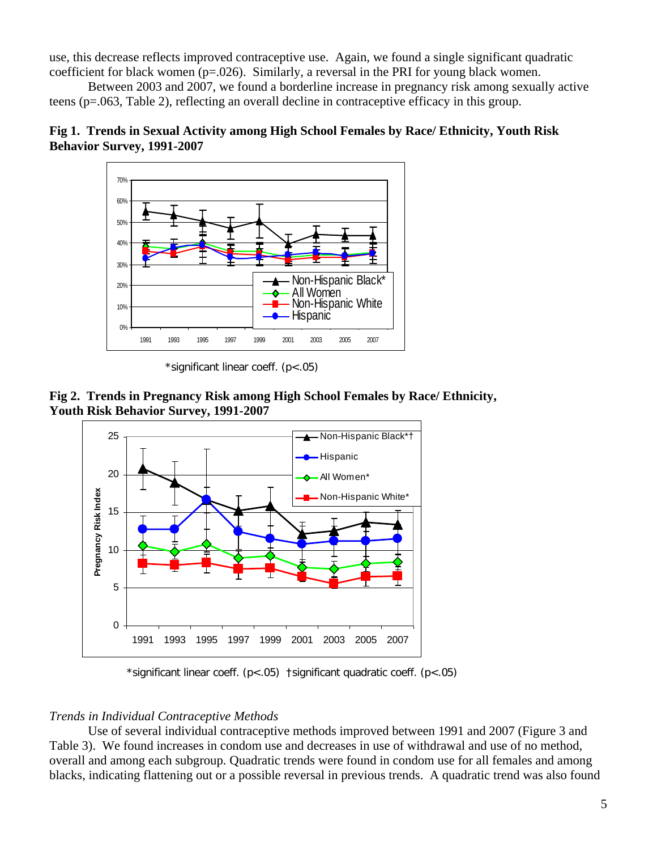use, this decrease reflects improved contraceptive use. Again, we found a single significant quadratic coefficient for black women  $(p=.026)$ . Similarly, a reversal in the PRI for young black women.

Between 2003 and 2007, we found a borderline increase in pregnancy risk among sexually active teens (p=.063, Table 2), reflecting an overall decline in contraceptive efficacy in this group.





\*significant linear coeff. (p<.05)





\*significant linear coeff. (p<.05) †significant quadratic coeff. (p<.05)

# *Trends in Individual Contraceptive Methods*

Use of several individual contraceptive methods improved between 1991 and 2007 (Figure 3 and Table 3). We found increases in condom use and decreases in use of withdrawal and use of no method, overall and among each subgroup. Quadratic trends were found in condom use for all females and among blacks, indicating flattening out or a possible reversal in previous trends. A quadratic trend was also found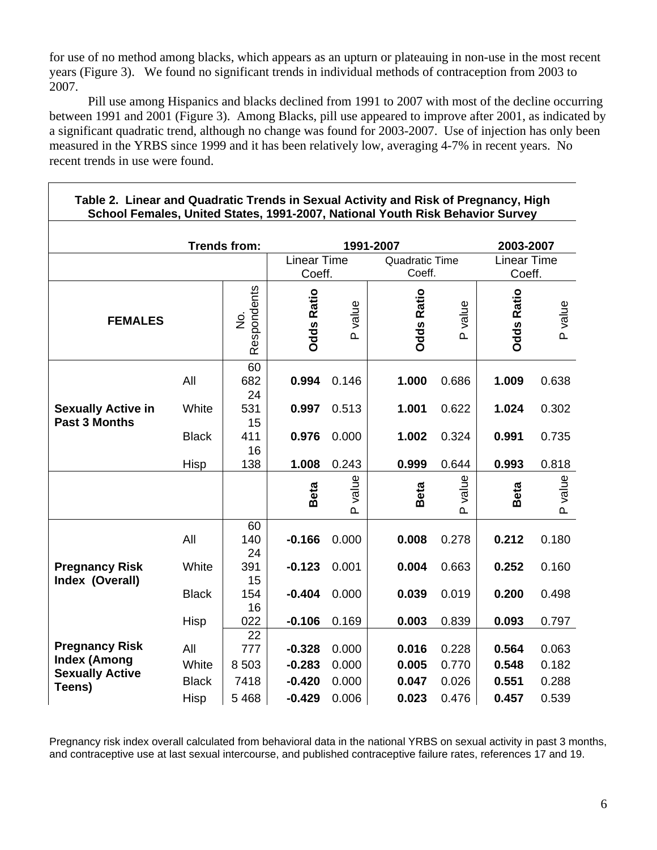for use of no method among blacks, which appears as an upturn or plateauing in non-use in the most recent years (Figure 3). We found no significant trends in individual methods of contraception from 2003 to 2007.

Pill use among Hispanics and blacks declined from 1991 to 2007 with most of the decline occurring between 1991 and 2001 (Figure 3). Among Blacks, pill use appeared to improve after 2001, as indicated by a significant quadratic trend, although no change was found for 2003-2007. Use of injection has only been measured in the YRBS since 1999 and it has been relatively low, averaging 4-7% in recent years. No recent trends in use were found.

| School Females, United States, 1991-2007, National Youth Risk Behavior Survey |                     |                    |                   |                                 |                   |                       |                   |         |
|-------------------------------------------------------------------------------|---------------------|--------------------|-------------------|---------------------------------|-------------------|-----------------------|-------------------|---------|
|                                                                               |                     |                    |                   |                                 |                   |                       |                   |         |
|                                                                               | <b>Trends from:</b> |                    |                   |                                 | 1991-2007         |                       | 2003-2007         |         |
|                                                                               |                     | <b>Linear Time</b> |                   | <b>Quadratic Time</b><br>Coeff. |                   | <b>Linear Time</b>    |                   |         |
|                                                                               |                     |                    | Coeff.            |                                 |                   |                       | Coeff.            |         |
| <b>FEMALES</b>                                                                |                     | Respondents<br>ż   | <b>Odds Ratio</b> | value<br>$\Delta$               | <b>Odds Ratio</b> | P value               | <b>Odds Ratio</b> | P value |
| <b>Sexually Active in</b><br><b>Past 3 Months</b>                             | All                 | 60<br>682<br>24    | 0.994             | 0.146                           | 1.000             | 0.686                 | 1.009             | 0.638   |
|                                                                               | White               | 531<br>15          | 0.997             | 0.513                           | 1.001             | 0.622                 | 1.024             | 0.302   |
|                                                                               | <b>Black</b>        | 411<br>16          | 0.976             | 0.000                           | 1.002             | 0.324                 | 0.991             | 0.735   |
|                                                                               | Hisp                | 138                | 1.008             | 0.243                           | 0.999             | 0.644                 | 0.993             | 0.818   |
|                                                                               |                     |                    | Beta              | value<br>$\Omega$               | Beta              | value<br>$\mathbf{a}$ | Beta              | P value |
|                                                                               | All                 | 60<br>140<br>24    | $-0.166$          | 0.000                           | 0.008             | 0.278                 | 0.212             | 0.180   |
| <b>Pregnancy Risk</b><br>Index (Overall)                                      | White               | 391<br>15          | $-0.123$          | 0.001                           | 0.004             | 0.663                 | 0.252             | 0.160   |
|                                                                               | <b>Black</b>        | 154<br>16          | $-0.404$          | 0.000                           | 0.039             | 0.019                 | 0.200             | 0.498   |
|                                                                               | Hisp                | 022<br>22          | $-0.106$          | 0.169                           | 0.003             | 0.839                 | 0.093             | 0.797   |
| <b>Pregnancy Risk</b><br><b>Index (Among</b><br><b>Sexually Active</b>        | All                 | 777                | $-0.328$          | 0.000                           | 0.016             | 0.228                 | 0.564             | 0.063   |
|                                                                               | White               | 8 5 0 3            | $-0.283$          | 0.000                           | 0.005             | 0.770                 | 0.548             | 0.182   |
|                                                                               | <b>Black</b>        | 7418               | $-0.420$          | 0.000                           | 0.047             | 0.026                 | 0.551             | 0.288   |
| Teens)                                                                        | Hisp                | 5 4 6 8            | $-0.429$          | 0.006                           | 0.023             | 0.476                 | 0.457             | 0.539   |
|                                                                               |                     |                    |                   |                                 |                   |                       |                   |         |

# **Table 2. Linear and Quadratic Trends in Sexual Activity and Risk of Pregnancy, High**

Pregnancy risk index overall calculated from behavioral data in the national YRBS on sexual activity in past 3 months, and contraceptive use at last sexual intercourse, and published contraceptive failure rates, references 17 and 19.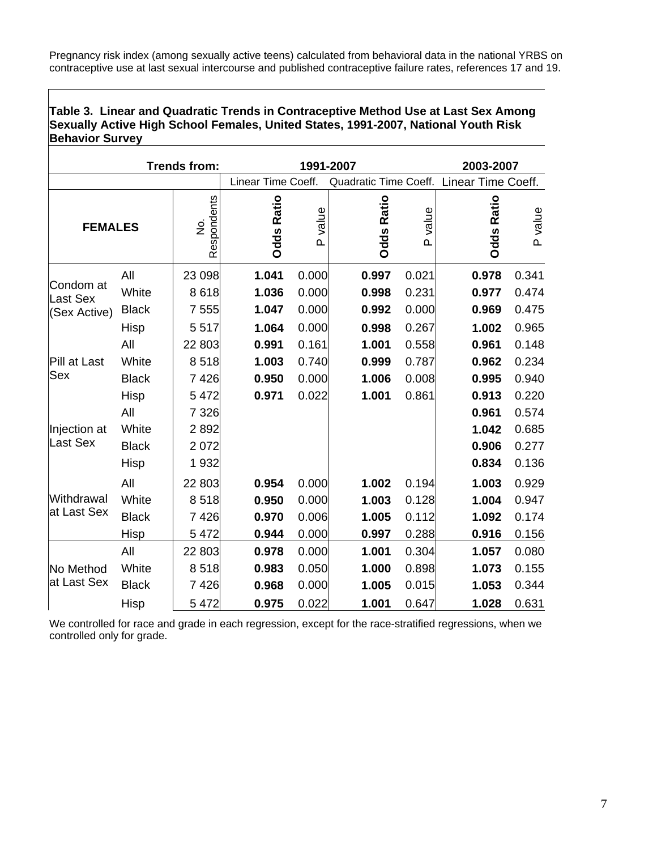Pregnancy risk index (among sexually active teens) calculated from behavioral data in the national YRBS on contraceptive use at last sexual intercourse and published contraceptive failure rates, references 17 and 19.

### **Table 3. Linear and Quadratic Trends in Contraceptive Method Use at Last Sex Among Sexually Active High School Females, United States, 1991-2007, National Youth Risk Behavior Survey**

| <b>Trends from:</b>                          |              |                  | 1991-2007          |                   |                       |                   | 2003-2007            |         |  |
|----------------------------------------------|--------------|------------------|--------------------|-------------------|-----------------------|-------------------|----------------------|---------|--|
|                                              |              |                  | Linear Time Coeff. |                   | Quadratic Time Coeff. |                   | Linear Time Coeff.   |         |  |
| <b>FEMALES</b>                               |              | Respondents<br>ż | <b>Odds Ratio</b>  | value<br>$\Omega$ | <b>Odds Ratio</b>     | value<br>$\Omega$ | Ratio<br><b>Odds</b> | P value |  |
| Condom at<br><b>Last Sex</b><br>(Sex Active) | All          | 23 098           | 1.041              | 0.000             | 0.997                 | 0.021             | 0.978                | 0.341   |  |
|                                              | White        | 8618             | 1.036              | 0.000             | 0.998                 | 0.231             | 0.977                | 0.474   |  |
|                                              | <b>Black</b> | 7555             | 1.047              | 0.000             | 0.992                 | 0.000             | 0.969                | 0.475   |  |
|                                              | Hisp         | 5517             | 1.064              | 0.000             | 0.998                 | 0.267             | 1.002                | 0.965   |  |
| Pill at Last                                 | All          | 22 803           | 0.991              | 0.161             | 1.001                 | 0.558             | 0.961                | 0.148   |  |
|                                              | White        | 8518             | 1.003              | 0.740             | 0.999                 | 0.787             | 0.962                | 0.234   |  |
| Sex                                          | <b>Black</b> | 7426             | 0.950              | 0.000             | 1.006                 | 0.008             | 0.995                | 0.940   |  |
|                                              | Hisp         | 5 4 7 2          | 0.971              | 0.022             | 1.001                 | 0.861             | 0.913                | 0.220   |  |
|                                              | All          | 7 3 2 6          |                    |                   |                       |                   | 0.961                | 0.574   |  |
| Injection at                                 | White        | 2892             |                    |                   |                       |                   | 1.042                | 0.685   |  |
| Last Sex                                     | <b>Black</b> | 2072             |                    |                   |                       |                   | 0.906                | 0.277   |  |
|                                              | Hisp         | 1932             |                    |                   |                       |                   | 0.834                | 0.136   |  |
| Withdrawal<br>at Last Sex                    | All          | 22 803           | 0.954              | 0.000             | 1.002                 | 0.194             | 1.003                | 0.929   |  |
|                                              | White        | 8518             | 0.950              | 0.000             | 1.003                 | 0.128             | 1.004                | 0.947   |  |
|                                              | <b>Black</b> | 7426             | 0.970              | 0.006             | 1.005                 | 0.112             | 1.092                | 0.174   |  |
|                                              | Hisp         | 5 4 7 2          | 0.944              | 0.000             | 0.997                 | 0.288             | 0.916                | 0.156   |  |
| No Method<br>at Last Sex                     | All          | 22 803           | 0.978              | 0.000             | 1.001                 | 0.304             | 1.057                | 0.080   |  |
|                                              | White        | 8518             | 0.983              | 0.050             | 1.000                 | 0.898             | 1.073                | 0.155   |  |
|                                              | <b>Black</b> | 7426             | 0.968              | 0.000             | 1.005                 | 0.015             | 1.053                | 0.344   |  |
|                                              | Hisp         | 5 4 7 2          | 0.975              | 0.022             | 1.001                 | 0.647             | 1.028                | 0.631   |  |

We controlled for race and grade in each regression, except for the race-stratified regressions, when we controlled only for grade.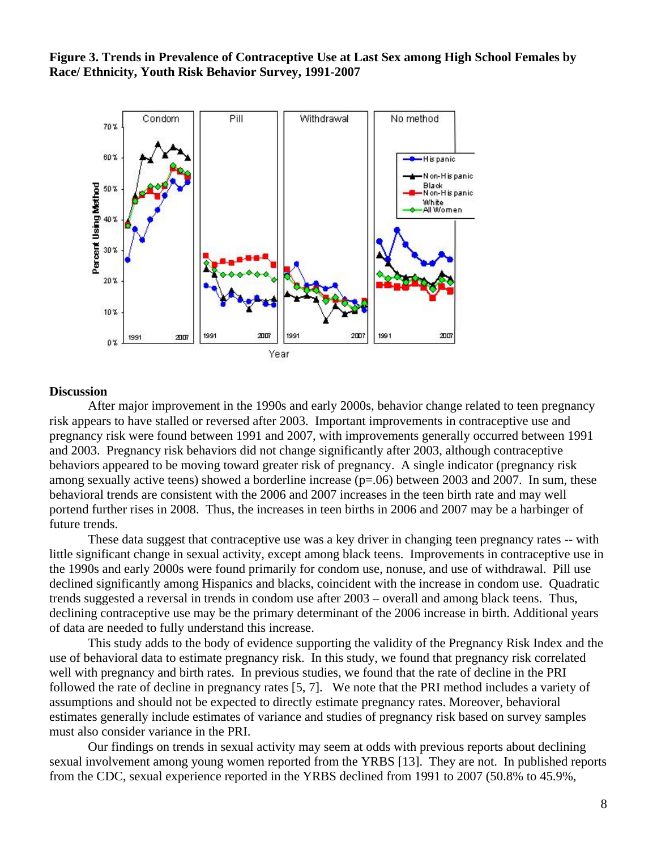**Figure 3. Trends in Prevalence of Contraceptive Use at Last Sex among High School Females by Race/ Ethnicity, Youth Risk Behavior Survey, 1991-2007**



#### **Discussion**

After major improvement in the 1990s and early 2000s, behavior change related to teen pregnancy risk appears to have stalled or reversed after 2003. Important improvements in contraceptive use and pregnancy risk were found between 1991 and 2007, with improvements generally occurred between 1991 and 2003. Pregnancy risk behaviors did not change significantly after 2003, although contraceptive behaviors appeared to be moving toward greater risk of pregnancy. A single indicator (pregnancy risk among sexually active teens) showed a borderline increase (p=.06) between 2003 and 2007. In sum, these behavioral trends are consistent with the 2006 and 2007 increases in the teen birth rate and may well portend further rises in 2008. Thus, the increases in teen births in 2006 and 2007 may be a harbinger of future trends.

These data suggest that contraceptive use was a key driver in changing teen pregnancy rates -- with little significant change in sexual activity, except among black teens. Improvements in contraceptive use in the 1990s and early 2000s were found primarily for condom use, nonuse, and use of withdrawal. Pill use declined significantly among Hispanics and blacks, coincident with the increase in condom use. Quadratic trends suggested a reversal in trends in condom use after 2003 – overall and among black teens. Thus, declining contraceptive use may be the primary determinant of the 2006 increase in birth. Additional years of data are needed to fully understand this increase.

This study adds to the body of evidence supporting the validity of the Pregnancy Risk Index and the use of behavioral data to estimate pregnancy risk. In this study, we found that pregnancy risk correlated well with pregnancy and birth rates. In previous studies, we found that the rate of decline in the PRI followed the rate of decline in pregnancy rates [5, 7]. We note that the PRI method includes a variety of assumptions and should not be expected to directly estimate pregnancy rates. Moreover, behavioral estimates generally include estimates of variance and studies of pregnancy risk based on survey samples must also consider variance in the PRI.

Our findings on trends in sexual activity may seem at odds with previous reports about declining sexual involvement among young women reported from the YRBS [13]. They are not. In published reports from the CDC, sexual experience reported in the YRBS declined from 1991 to 2007 (50.8% to 45.9%,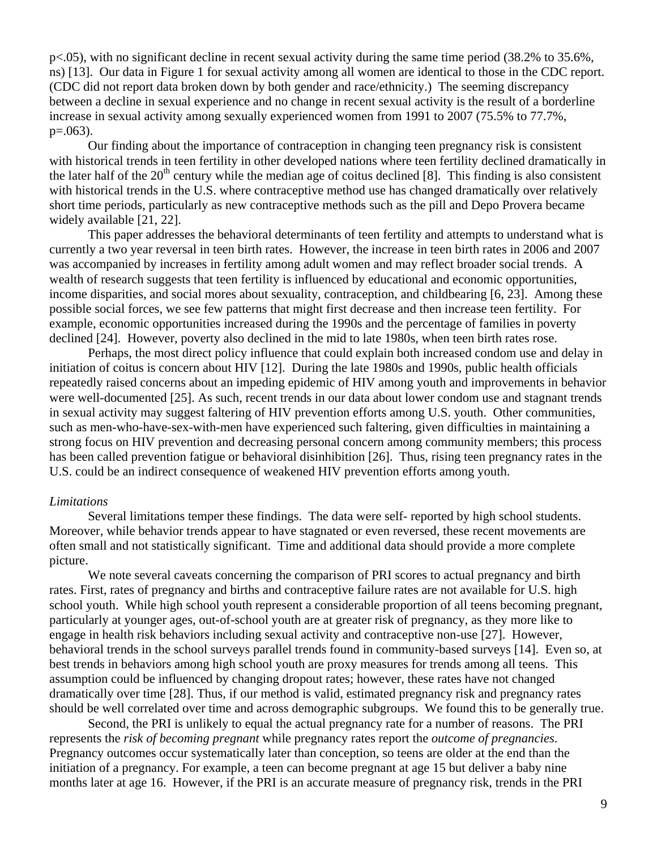p<.05), with no significant decline in recent sexual activity during the same time period (38.2% to 35.6%, ns) [13]. Our data in Figure 1 for sexual activity among all women are identical to those in the CDC report. (CDC did not report data broken down by both gender and race/ethnicity.) The seeming discrepancy between a decline in sexual experience and no change in recent sexual activity is the result of a borderline increase in sexual activity among sexually experienced women from 1991 to 2007 (75.5% to 77.7%,  $p=.063$ ).

Our finding about the importance of contraception in changing teen pregnancy risk is consistent with historical trends in teen fertility in other developed nations where teen fertility declined dramatically in the later half of the  $20<sup>th</sup>$  century while the median age of coitus declined [8]. This finding is also consistent with historical trends in the U.S. where contraceptive method use has changed dramatically over relatively short time periods, particularly as new contraceptive methods such as the pill and Depo Provera became widely available [21, 22].

This paper addresses the behavioral determinants of teen fertility and attempts to understand what is currently a two year reversal in teen birth rates. However, the increase in teen birth rates in 2006 and 2007 was accompanied by increases in fertility among adult women and may reflect broader social trends. A wealth of research suggests that teen fertility is influenced by educational and economic opportunities, income disparities, and social mores about sexuality, contraception, and childbearing [6, 23]. Among these possible social forces, we see few patterns that might first decrease and then increase teen fertility. For example, economic opportunities increased during the 1990s and the percentage of families in poverty declined [24]. However, poverty also declined in the mid to late 1980s, when teen birth rates rose.

Perhaps, the most direct policy influence that could explain both increased condom use and delay in initiation of coitus is concern about HIV [12]. During the late 1980s and 1990s, public health officials repeatedly raised concerns about an impeding epidemic of HIV among youth and improvements in behavior were well-documented [25]. As such, recent trends in our data about lower condom use and stagnant trends in sexual activity may suggest faltering of HIV prevention efforts among U.S. youth. Other communities, such as men-who-have-sex-with-men have experienced such faltering, given difficulties in maintaining a strong focus on HIV prevention and decreasing personal concern among community members; this process has been called prevention fatigue or behavioral disinhibition [26]. Thus, rising teen pregnancy rates in the U.S. could be an indirect consequence of weakened HIV prevention efforts among youth.

#### *Limitations*

Several limitations temper these findings. The data were self- reported by high school students. Moreover, while behavior trends appear to have stagnated or even reversed, these recent movements are often small and not statistically significant. Time and additional data should provide a more complete picture.

We note several caveats concerning the comparison of PRI scores to actual pregnancy and birth rates. First, rates of pregnancy and births and contraceptive failure rates are not available for U.S. high school youth. While high school youth represent a considerable proportion of all teens becoming pregnant, particularly at younger ages, out-of-school youth are at greater risk of pregnancy, as they more like to engage in health risk behaviors including sexual activity and contraceptive non-use [27]. However, behavioral trends in the school surveys parallel trends found in community-based surveys [14]. Even so, at best trends in behaviors among high school youth are proxy measures for trends among all teens. This assumption could be influenced by changing dropout rates; however, these rates have not changed dramatically over time [28]. Thus, if our method is valid, estimated pregnancy risk and pregnancy rates should be well correlated over time and across demographic subgroups. We found this to be generally true.

Second, the PRI is unlikely to equal the actual pregnancy rate for a number of reasons. The PRI represents the *risk of becoming pregnant* while pregnancy rates report the *outcome of pregnancies*. Pregnancy outcomes occur systematically later than conception, so teens are older at the end than the initiation of a pregnancy. For example, a teen can become pregnant at age 15 but deliver a baby nine months later at age 16. However, if the PRI is an accurate measure of pregnancy risk, trends in the PRI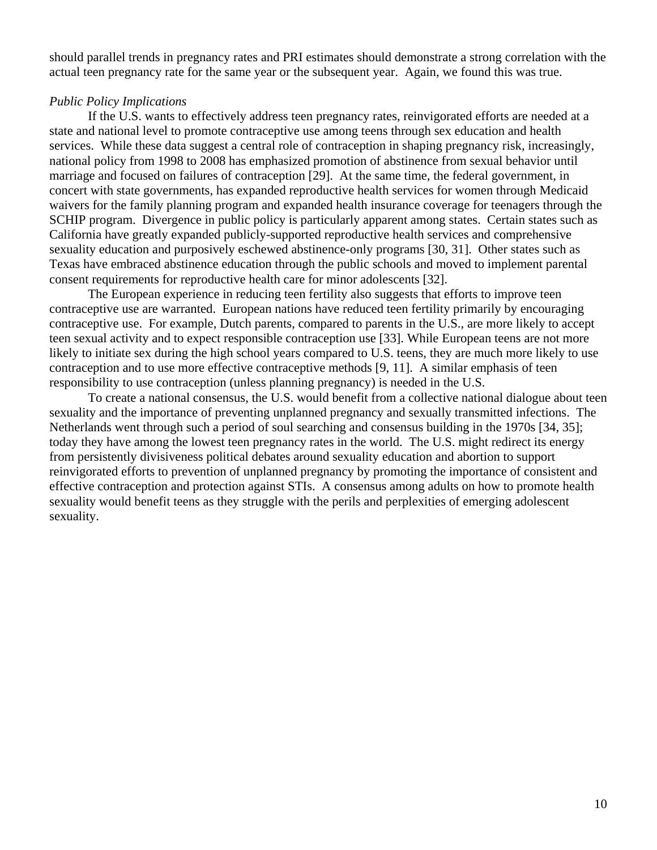should parallel trends in pregnancy rates and PRI estimates should demonstrate a strong correlation with the actual teen pregnancy rate for the same year or the subsequent year. Again, we found this was true.

#### *Public Policy Implications*

If the U.S. wants to effectively address teen pregnancy rates, reinvigorated efforts are needed at a state and national level to promote contraceptive use among teens through sex education and health services. While these data suggest a central role of contraception in shaping pregnancy risk, increasingly, national policy from 1998 to 2008 has emphasized promotion of abstinence from sexual behavior until marriage and focused on failures of contraception [29]. At the same time, the federal government, in concert with state governments, has expanded reproductive health services for women through Medicaid waivers for the family planning program and expanded health insurance coverage for teenagers through the SCHIP program. Divergence in public policy is particularly apparent among states. Certain states such as California have greatly expanded publicly-supported reproductive health services and comprehensive sexuality education and purposively eschewed abstinence-only programs [30, 31]. Other states such as Texas have embraced abstinence education through the public schools and moved to implement parental consent requirements for reproductive health care for minor adolescents [32].

The European experience in reducing teen fertility also suggests that efforts to improve teen contraceptive use are warranted. European nations have reduced teen fertility primarily by encouraging contraceptive use. For example, Dutch parents, compared to parents in the U.S., are more likely to accept teen sexual activity and to expect responsible contraception use [33]. While European teens are not more likely to initiate sex during the high school years compared to U.S. teens, they are much more likely to use contraception and to use more effective contraceptive methods [9, 11]. A similar emphasis of teen responsibility to use contraception (unless planning pregnancy) is needed in the U.S.

To create a national consensus, the U.S. would benefit from a collective national dialogue about teen sexuality and the importance of preventing unplanned pregnancy and sexually transmitted infections. The Netherlands went through such a period of soul searching and consensus building in the 1970s [34, 35]; today they have among the lowest teen pregnancy rates in the world. The U.S. might redirect its energy from persistently divisiveness political debates around sexuality education and abortion to support reinvigorated efforts to prevention of unplanned pregnancy by promoting the importance of consistent and effective contraception and protection against STIs. A consensus among adults on how to promote health sexuality would benefit teens as they struggle with the perils and perplexities of emerging adolescent sexuality.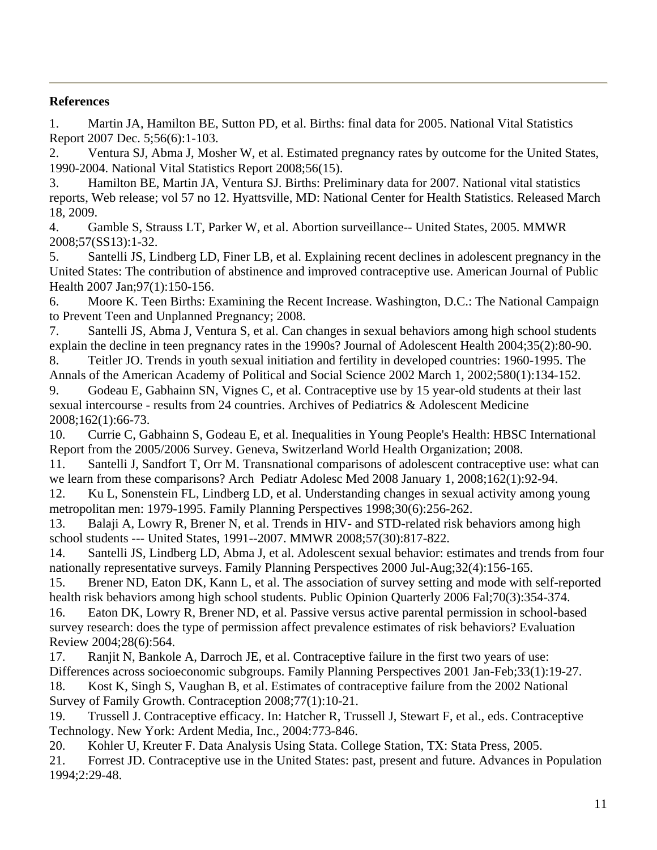# **References**

1. Martin JA, Hamilton BE, Sutton PD, et al. Births: final data for 2005. National Vital Statistics Report 2007 Dec. 5;56(6):1-103.

2. Ventura SJ, Abma J, Mosher W, et al. Estimated pregnancy rates by outcome for the United States, 1990-2004. National Vital Statistics Report 2008;56(15).

3. Hamilton BE, Martin JA, Ventura SJ. Births: Preliminary data for 2007. National vital statistics reports, Web release; vol 57 no 12. Hyattsville, MD: National Center for Health Statistics. Released March 18, 2009.

4. Gamble S, Strauss LT, Parker W, et al. Abortion surveillance-- United States, 2005. MMWR 2008;57(SS13):1-32.

5. Santelli JS, Lindberg LD, Finer LB, et al. Explaining recent declines in adolescent pregnancy in the United States: The contribution of abstinence and improved contraceptive use. American Journal of Public Health 2007 Jan;97(1):150-156.

6. Moore K. Teen Births: Examining the Recent Increase. Washington, D.C.: The National Campaign to Prevent Teen and Unplanned Pregnancy; 2008.

7. Santelli JS, Abma J, Ventura S, et al. Can changes in sexual behaviors among high school students explain the decline in teen pregnancy rates in the 1990s? Journal of Adolescent Health 2004;35(2):80-90.

8. Teitler JO. Trends in youth sexual initiation and fertility in developed countries: 1960-1995. The Annals of the American Academy of Political and Social Science 2002 March 1, 2002;580(1):134-152.

9. Godeau E, Gabhainn SN, Vignes C, et al. Contraceptive use by 15 year-old students at their last sexual intercourse - results from 24 countries. Archives of Pediatrics & Adolescent Medicine 2008;162(1):66-73.

10. Currie C, Gabhainn S, Godeau E, et al. Inequalities in Young People's Health: HBSC International Report from the 2005/2006 Survey. Geneva, Switzerland World Health Organization; 2008.

11. Santelli J, Sandfort T, Orr M. Transnational comparisons of adolescent contraceptive use: what can we learn from these comparisons? Arch Pediatr Adolesc Med 2008 January 1, 2008;162(1):92-94.

12. Ku L, Sonenstein FL, Lindberg LD, et al. Understanding changes in sexual activity among young metropolitan men: 1979-1995. Family Planning Perspectives 1998;30(6):256-262.

13. Balaji A, Lowry R, Brener N, et al. Trends in HIV- and STD-related risk behaviors among high school students --- United States, 1991--2007. MMWR 2008;57(30):817-822.

14. Santelli JS, Lindberg LD, Abma J, et al. Adolescent sexual behavior: estimates and trends from four nationally representative surveys. Family Planning Perspectives 2000 Jul-Aug;32(4):156-165.

15. Brener ND, Eaton DK, Kann L, et al. The association of survey setting and mode with self-reported health risk behaviors among high school students. Public Opinion Quarterly 2006 Fal;70(3):354-374.

16. Eaton DK, Lowry R, Brener ND, et al. Passive versus active parental permission in school-based survey research: does the type of permission affect prevalence estimates of risk behaviors? Evaluation Review 2004;28(6):564.

17. Ranjit N, Bankole A, Darroch JE, et al. Contraceptive failure in the first two years of use: Differences across socioeconomic subgroups. Family Planning Perspectives 2001 Jan-Feb;33(1):19-27. 18. Kost K, Singh S, Vaughan B, et al. Estimates of contraceptive failure from the 2002 National Survey of Family Growth. Contraception 2008;77(1):10-21.

19. Trussell J. Contraceptive efficacy. In: Hatcher R, Trussell J, Stewart F, et al., eds. Contraceptive Technology. New York: Ardent Media, Inc., 2004:773-846.

20. Kohler U, Kreuter F. Data Analysis Using Stata. College Station, TX: Stata Press, 2005.

21. Forrest JD. Contraceptive use in the United States: past, present and future. Advances in Population 1994;2:29-48.